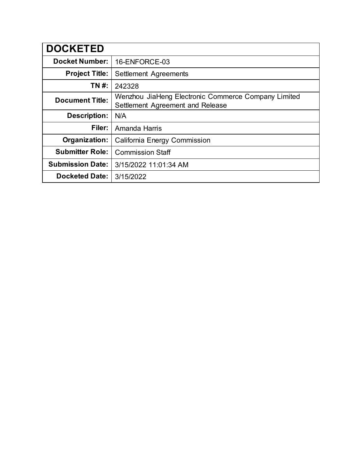| <b>DOCKETED</b>         |                                                                                         |  |
|-------------------------|-----------------------------------------------------------------------------------------|--|
| <b>Docket Number:</b>   | 16-ENFORCE-03                                                                           |  |
| <b>Project Title:</b>   | <b>Settlement Agreements</b>                                                            |  |
| TN #:                   | 242328                                                                                  |  |
| <b>Document Title:</b>  | Wenzhou JiaHeng Electronic Commerce Company Limited<br>Settlement Agreement and Release |  |
| <b>Description:</b>     | N/A                                                                                     |  |
| Filer:                  | Amanda Harris                                                                           |  |
| Organization:           | <b>California Energy Commission</b>                                                     |  |
| <b>Submitter Role:</b>  | <b>Commission Staff</b>                                                                 |  |
| <b>Submission Date:</b> | 3/15/2022 11:01:34 AM                                                                   |  |
| <b>Docketed Date:</b>   | 3/15/2022                                                                               |  |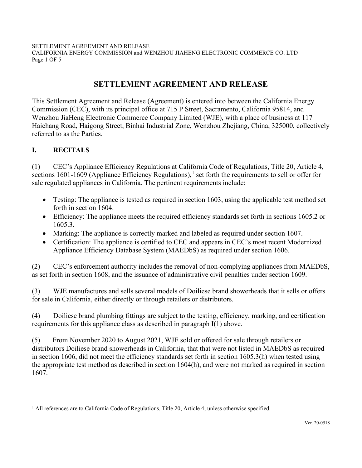CALIFORNIA ENERGY COMMISSION and WENZHOU JIAHENG ELECTRONIC COMMERCE CO. LTD Page 1 OF 5

# **SETTLEMENT AGREEMENT AND RELEASE**

This Settlement Agreement and Release (Agreement) is entered into between the California Energy Commission (CEC), with its principal office at 715 P Street, Sacramento, California 95814, and Wenzhou JiaHeng Electronic Commerce Company Limited (WJE), with a place of business at 117 Haichang Road, Haigong Street, Binhai Industrial Zone, Wenzhou Zhejiang, China, 325000, collectively referred to as the Parties.

## **I. RECITALS**

(1) CEC's Appliance Efficiency Regulations at California Code of Regulations, Title 20, Article 4, sections [1](#page-1-0)601-1609 (Appliance Efficiency Regulations),<sup>1</sup> set forth the requirements to sell or offer for sale regulated appliances in California. The pertinent requirements include:

- Testing: The appliance is tested as required in section 1603, using the applicable test method set forth in section 1604.
- Efficiency: The appliance meets the required efficiency standards set forth in sections 1605.2 or 1605.3.
- Marking: The appliance is correctly marked and labeled as required under section 1607.
- Certification: The appliance is certified to CEC and appears in CEC's most recent Modernized Appliance Efficiency Database System (MAEDbS) as required under section 1606.

(2) CEC's enforcement authority includes the removal of non-complying appliances from MAEDbS, as set forth in section 1608, and the issuance of administrative civil penalties under section 1609.

(3) WJE manufactures and sells several models of Doiliese brand showerheads that it sells or offers for sale in California, either directly or through retailers or distributors.

(4) Doiliese brand plumbing fittings are subject to the testing, efficiency, marking, and certification requirements for this appliance class as described in paragraph I(1) above.

(5) From November 2020 to August 2021, WJE sold or offered for sale through retailers or distributors Doiliese brand showerheads in California, that that were not listed in MAEDbS as required in section 1606, did not meet the efficiency standards set forth in section 1605.3(h) when tested using the appropriate test method as described in section 1604(h), and were not marked as required in section 1607.

<span id="page-1-0"></span> $<sup>1</sup>$  All references are to California Code of Regulations, Title 20, Article 4, unless otherwise specified.</sup>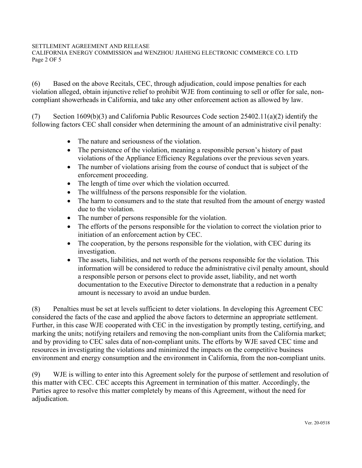CALIFORNIA ENERGY COMMISSION and WENZHOU JIAHENG ELECTRONIC COMMERCE CO. LTD Page 2 OF 5

(6) Based on the above Recitals, CEC, through adjudication, could impose penalties for each violation alleged, obtain injunctive relief to prohibit WJE from continuing to sell or offer for sale, noncompliant showerheads in California, and take any other enforcement action as allowed by law.

(7) Section 1609(b)(3) and California Public Resources Code section  $25402.11(a)(2)$  identify the following factors CEC shall consider when determining the amount of an administrative civil penalty:

- The nature and seriousness of the violation.
- The persistence of the violation, meaning a responsible person's history of past violations of the Appliance Efficiency Regulations over the previous seven years.
- The number of violations arising from the course of conduct that is subject of the enforcement proceeding.
- The length of time over which the violation occurred.
- The willfulness of the persons responsible for the violation.
- The harm to consumers and to the state that resulted from the amount of energy wasted due to the violation.
- The number of persons responsible for the violation.
- The efforts of the persons responsible for the violation to correct the violation prior to initiation of an enforcement action by CEC.
- The cooperation, by the persons responsible for the violation, with CEC during its investigation.
- The assets, liabilities, and net worth of the persons responsible for the violation. This information will be considered to reduce the administrative civil penalty amount, should a responsible person or persons elect to provide asset, liability, and net worth documentation to the Executive Director to demonstrate that a reduction in a penalty amount is necessary to avoid an undue burden.

(8) Penalties must be set at levels sufficient to deter violations. In developing this Agreement CEC considered the facts of the case and applied the above factors to determine an appropriate settlement. Further, in this case WJE cooperated with CEC in the investigation by promptly testing, certifying, and marking the units; notifying retailers and removing the non-compliant units from the California market; and by providing to CEC sales data of non-compliant units. The efforts by WJE saved CEC time and resources in investigating the violations and minimized the impacts on the competitive business environment and energy consumption and the environment in California, from the non-compliant units.

(9) WJE is willing to enter into this Agreement solely for the purpose of settlement and resolution of this matter with CEC. CEC accepts this Agreement in termination of this matter. Accordingly, the Parties agree to resolve this matter completely by means of this Agreement, without the need for adjudication.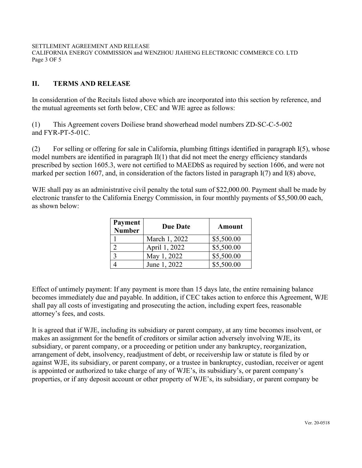CALIFORNIA ENERGY COMMISSION and WENZHOU JIAHENG ELECTRONIC COMMERCE CO. LTD Page 3 OF 5

## **II. TERMS AND RELEASE**

In consideration of the Recitals listed above which are incorporated into this section by reference, and the mutual agreements set forth below, CEC and WJE agree as follows:

(1) This Agreement covers Doiliese brand showerhead model numbers ZD-SC-C-5-002 and FYR-PT-5-01C.

(2) For selling or offering for sale in California, plumbing fittings identified in paragraph I(5), whose model numbers are identified in paragraph II(1) that did not meet the energy efficiency standards prescribed by section 1605.3, were not certified to MAEDbS as required by section 1606, and were not marked per section 1607, and, in consideration of the factors listed in paragraph I(7) and I(8) above,

WJE shall pay as an administrative civil penalty the total sum of \$22,000.00. Payment shall be made by electronic transfer to the California Energy Commission, in four monthly payments of \$5,500.00 each, as shown below:

| Payment<br><b>Number</b> | <b>Due Date</b> | Amount     |
|--------------------------|-----------------|------------|
|                          | March 1, 2022   | \$5,500.00 |
|                          | April 1, 2022   | \$5,500.00 |
|                          | May 1, 2022     | \$5,500.00 |
|                          | June 1, 2022    | \$5,500.00 |

Effect of untimely payment: If any payment is more than 15 days late, the entire remaining balance becomes immediately due and payable. In addition, if CEC takes action to enforce this Agreement, WJE shall pay all costs of investigating and prosecuting the action, including expert fees, reasonable attorney's fees, and costs.

It is agreed that if WJE, including its subsidiary or parent company, at any time becomes insolvent, or makes an assignment for the benefit of creditors or similar action adversely involving WJE, its subsidiary, or parent company, or a proceeding or petition under any bankruptcy, reorganization, arrangement of debt, insolvency, readjustment of debt, or receivership law or statute is filed by or against WJE, its subsidiary, or parent company, or a trustee in bankruptcy, custodian, receiver or agent is appointed or authorized to take charge of any of WJE's, its subsidiary's, or parent company's properties, or if any deposit account or other property of WJE's, its subsidiary, or parent company be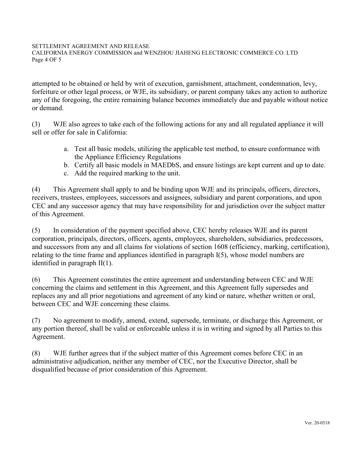CALIFORNIA ENERGY COMMISSION and WENZHOU JIAHENG ELECTRONIC COMMERCE CO. LTD Page 4 OF 5

attempted to be obtained or held by writ of execution, garnishment, attachment, condemnation, levy, forfeiture or other legal process, or WJE, its subsidiary, or parent company takes any action to authorize any of the foregoing, the entire remaining balance becomes immediately due and payable without notice or demand.

(3) WJE also agrees to take each of the following actions for any and all regulated appliance it will sell or offer for sale in California:

- a. Test all basic models, utilizing the applicable test method, to ensure conformance with the Appliance Efficiency Regulations
- b. Certify all basic models in MAEDbS, and ensure listings are kept current and up to date.
- c. Add the required marking to the unit.

(4) This Agreement shall apply to and be binding upon WJE and its principals, officers, directors, receivers, trustees, employees, successors and assignees, subsidiary and parent corporations, and upon CEC and any successor agency that may have responsibility for and jurisdiction over the subject matter of this Agreement.

(5) In consideration of the payment specified above, CEC hereby releases WJE and its parent corporation, principals, directors, officers, agents, employees, shareholders, subsidiaries, predecessors, and successors from any and all claims for violations of section 1608 (efficiency, marking, certification), relating to the time frame and appliances identified in paragraph I(5), whose model numbers are identified in paragraph II(1).

(6) This Agreement constitutes the entire agreement and understanding between CEC and WJE concerning the claims and settlement in this Agreement, and this Agreement fully supersedes and replaces any and all prior negotiations and agreement of any kind or nature, whether written or oral, between CEC and WJE concerning these claims.

(7) No agreement to modify, amend, extend, supersede, terminate, or discharge this Agreement, or any portion thereof, shall be valid or enforceable unless it is in writing and signed by all Parties to this Agreement.

(8) WJE further agrees that if the subject matter of this Agreement comes before CEC in an administrative adjudication, neither any member of CEC, nor the Executive Director, shall be disqualified because of prior consideration of this Agreement.